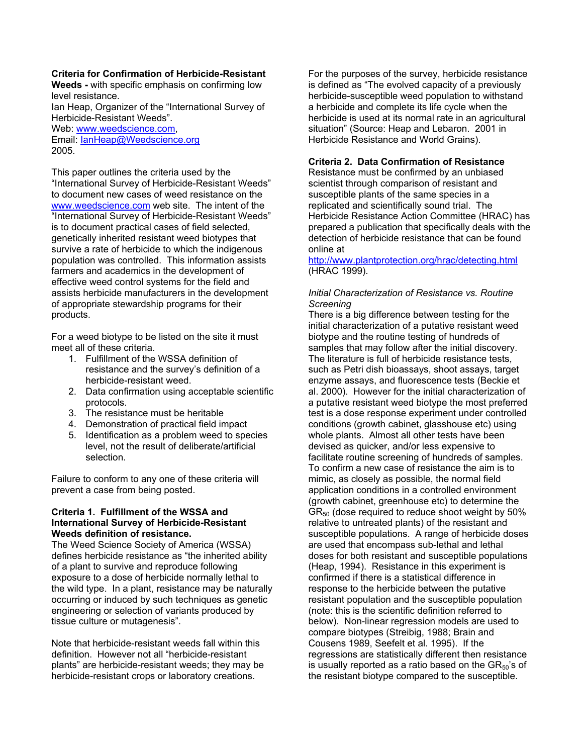#### **Criteria for Confirmation of Herbicide-Resistant**

**Weeds -** with specific emphasis on confirming low level resistance.

Ian Heap, Organizer of the "International Survey of Herbicide-Resistant Weeds".

Web: www.weedscience.com,

Email: IanHeap@Weedscience.org 2005.

This paper outlines the criteria used by the "International Survey of Herbicide-Resistant Weeds" to document new cases of weed resistance on the www.weedscience.com web site. The intent of the "International Survey of Herbicide-Resistant Weeds" is to document practical cases of field selected, genetically inherited resistant weed biotypes that survive a rate of herbicide to which the indigenous population was controlled. This information assists farmers and academics in the development of effective weed control systems for the field and assists herbicide manufacturers in the development of appropriate stewardship programs for their products.

For a weed biotype to be listed on the site it must meet all of these criteria.

- 1. Fulfillment of the WSSA definition of resistance and the survey's definition of a herbicide-resistant weed.
- 2. Data confirmation using acceptable scientific protocols.
- 3. The resistance must be heritable
- 4. Demonstration of practical field impact
- 5. Identification as a problem weed to species level, not the result of deliberate/artificial selection.

Failure to conform to any one of these criteria will prevent a case from being posted.

#### **Criteria 1. Fulfillment of the WSSA and International Survey of Herbicide-Resistant Weeds definition of resistance.**

The Weed Science Society of America (WSSA) defines herbicide resistance as "the inherited ability of a plant to survive and reproduce following exposure to a dose of herbicide normally lethal to the wild type. In a plant, resistance may be naturally occurring or induced by such techniques as genetic engineering or selection of variants produced by tissue culture or mutagenesis".

Note that herbicide-resistant weeds fall within this definition. However not all "herbicide-resistant plants" are herbicide-resistant weeds; they may be herbicide-resistant crops or laboratory creations.

For the purposes of the survey, herbicide resistance is defined as "The evolved capacity of a previously herbicide-susceptible weed population to withstand a herbicide and complete its life cycle when the herbicide is used at its normal rate in an agricultural situation" (Source: Heap and Lebaron. 2001 in Herbicide Resistance and World Grains).

### **Criteria 2. Data Confirmation of Resistance**

Resistance must be confirmed by an unbiased scientist through comparison of resistant and susceptible plants of the same species in a replicated and scientifically sound trial. The Herbicide Resistance Action Committee (HRAC) has prepared a publication that specifically deals with the detection of herbicide resistance that can be found online at

http://www.plantprotection.org/hrac/detecting.html (HRAC 1999).

### *Initial Characterization of Resistance vs. Routine Screening*

There is a big difference between testing for the initial characterization of a putative resistant weed biotype and the routine testing of hundreds of samples that may follow after the initial discovery. The literature is full of herbicide resistance tests, such as Petri dish bioassays, shoot assays, target enzyme assays, and fluorescence tests (Beckie et al. 2000). However for the initial characterization of a putative resistant weed biotype the most preferred test is a dose response experiment under controlled conditions (growth cabinet, glasshouse etc) using whole plants. Almost all other tests have been devised as quicker, and/or less expensive to facilitate routine screening of hundreds of samples. To confirm a new case of resistance the aim is to mimic, as closely as possible, the normal field application conditions in a controlled environment (growth cabinet, greenhouse etc) to determine the  $GR<sub>50</sub>$  (dose required to reduce shoot weight by 50% relative to untreated plants) of the resistant and susceptible populations. A range of herbicide doses are used that encompass sub-lethal and lethal doses for both resistant and susceptible populations (Heap, 1994). Resistance in this experiment is confirmed if there is a statistical difference in response to the herbicide between the putative resistant population and the susceptible population (note: this is the scientific definition referred to below). Non-linear regression models are used to compare biotypes (Streibig, 1988; Brain and Cousens 1989, Seefelt et al. 1995). If the regressions are statistically different then resistance is usually reported as a ratio based on the  $GR_{50}$ 's of the resistant biotype compared to the susceptible.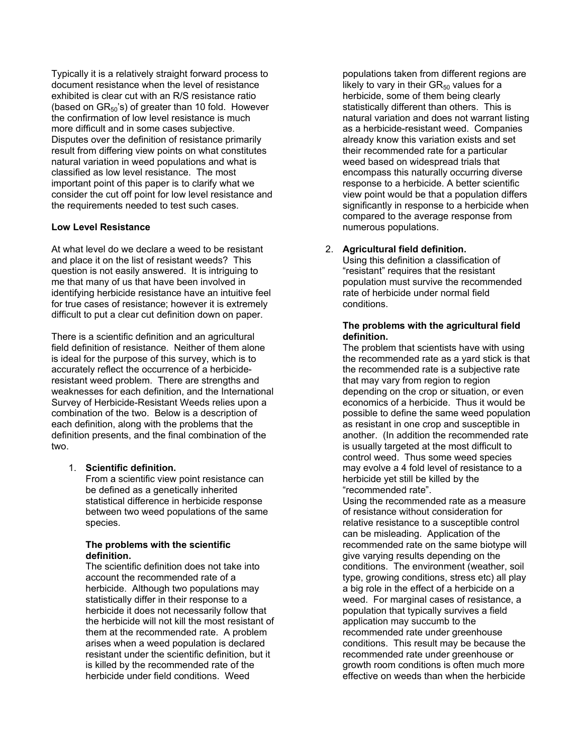Typically it is a relatively straight forward process to document resistance when the level of resistance exhibited is clear cut with an R/S resistance ratio (based on  $GR_{50}$ 's) of greater than 10 fold. However the confirmation of low level resistance is much more difficult and in some cases subjective. Disputes over the definition of resistance primarily result from differing view points on what constitutes natural variation in weed populations and what is classified as low level resistance. The most important point of this paper is to clarify what we consider the cut off point for low level resistance and the requirements needed to test such cases.

# **Low Level Resistance**

At what level do we declare a weed to be resistant and place it on the list of resistant weeds? This question is not easily answered. It is intriguing to me that many of us that have been involved in identifying herbicide resistance have an intuitive feel for true cases of resistance; however it is extremely difficult to put a clear cut definition down on paper.

There is a scientific definition and an agricultural field definition of resistance. Neither of them alone is ideal for the purpose of this survey, which is to accurately reflect the occurrence of a herbicideresistant weed problem. There are strengths and weaknesses for each definition, and the International Survey of Herbicide-Resistant Weeds relies upon a combination of the two. Below is a description of each definition, along with the problems that the definition presents, and the final combination of the two.

# 1. **Scientific definition.**

From a scientific view point resistance can be defined as a genetically inherited statistical difference in herbicide response between two weed populations of the same species.

#### **The problems with the scientific definition.**

The scientific definition does not take into account the recommended rate of a herbicide. Although two populations may statistically differ in their response to a herbicide it does not necessarily follow that the herbicide will not kill the most resistant of them at the recommended rate. A problem arises when a weed population is declared resistant under the scientific definition, but it is killed by the recommended rate of the herbicide under field conditions. Weed

populations taken from different regions are likely to vary in their  $GR_{50}$  values for a herbicide, some of them being clearly statistically different than others. This is natural variation and does not warrant listing as a herbicide-resistant weed. Companies already know this variation exists and set their recommended rate for a particular weed based on widespread trials that encompass this naturally occurring diverse response to a herbicide. A better scientific view point would be that a population differs significantly in response to a herbicide when compared to the average response from numerous populations.

# 2. **Agricultural field definition.**

Using this definition a classification of "resistant" requires that the resistant population must survive the recommended rate of herbicide under normal field conditions.

## **The problems with the agricultural field definition.**

The problem that scientists have with using the recommended rate as a yard stick is that the recommended rate is a subjective rate that may vary from region to region depending on the crop or situation, or even economics of a herbicide. Thus it would be possible to define the same weed population as resistant in one crop and susceptible in another. (In addition the recommended rate is usually targeted at the most difficult to control weed. Thus some weed species may evolve a 4 fold level of resistance to a herbicide yet still be killed by the "recommended rate".

Using the recommended rate as a measure of resistance without consideration for relative resistance to a susceptible control can be misleading. Application of the recommended rate on the same biotype will give varying results depending on the conditions. The environment (weather, soil type, growing conditions, stress etc) all play a big role in the effect of a herbicide on a weed. For marginal cases of resistance, a population that typically survives a field application may succumb to the recommended rate under greenhouse conditions. This result may be because the recommended rate under greenhouse or growth room conditions is often much more effective on weeds than when the herbicide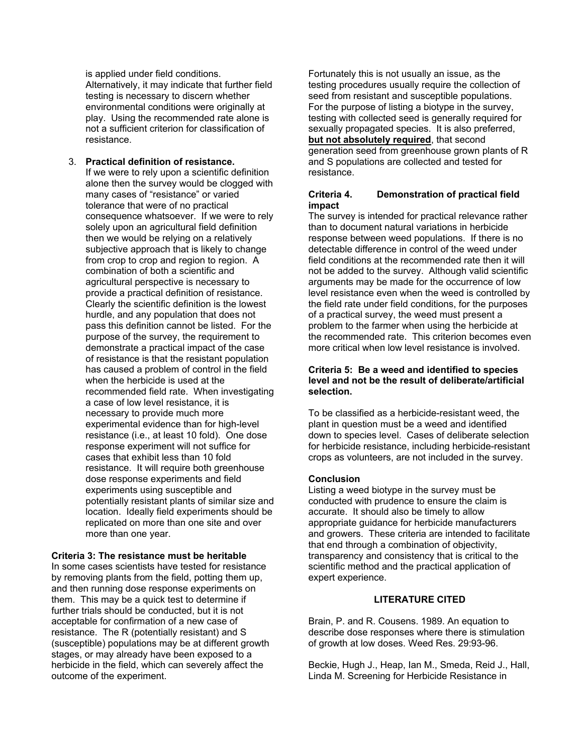is applied under field conditions. Alternatively, it may indicate that further field testing is necessary to discern whether environmental conditions were originally at play. Using the recommended rate alone is not a sufficient criterion for classification of resistance.

#### 3. **Practical definition of resistance.**  If we were to rely upon a scientific definition alone then the survey would be clogged with many cases of "resistance" or varied tolerance that were of no practical consequence whatsoever. If we were to rely solely upon an agricultural field definition then we would be relying on a relatively subjective approach that is likely to change from crop to crop and region to region. A combination of both a scientific and agricultural perspective is necessary to provide a practical definition of resistance. Clearly the scientific definition is the lowest hurdle, and any population that does not pass this definition cannot be listed. For the purpose of the survey, the requirement to demonstrate a practical impact of the case of resistance is that the resistant population has caused a problem of control in the field when the herbicide is used at the recommended field rate. When investigating a case of low level resistance, it is necessary to provide much more experimental evidence than for high-level resistance (i.e., at least 10 fold). One dose response experiment will not suffice for cases that exhibit less than 10 fold resistance. It will require both greenhouse dose response experiments and field experiments using susceptible and potentially resistant plants of similar size and location. Ideally field experiments should be replicated on more than one site and over more than one year.

### **Criteria 3: The resistance must be heritable**

In some cases scientists have tested for resistance by removing plants from the field, potting them up, and then running dose response experiments on them. This may be a quick test to determine if further trials should be conducted, but it is not acceptable for confirmation of a new case of resistance. The R (potentially resistant) and S (susceptible) populations may be at different growth stages, or may already have been exposed to a herbicide in the field, which can severely affect the outcome of the experiment.

Fortunately this is not usually an issue, as the testing procedures usually require the collection of seed from resistant and susceptible populations. For the purpose of listing a biotype in the survey, testing with collected seed is generally required for sexually propagated species. It is also preferred, **but not absolutely required**, that second generation seed from greenhouse grown plants of R and S populations are collected and tested for resistance.

## **Criteria 4. Demonstration of practical field impact**

The survey is intended for practical relevance rather than to document natural variations in herbicide response between weed populations. If there is no detectable difference in control of the weed under field conditions at the recommended rate then it will not be added to the survey. Although valid scientific arguments may be made for the occurrence of low level resistance even when the weed is controlled by the field rate under field conditions, for the purposes of a practical survey, the weed must present a problem to the farmer when using the herbicide at the recommended rate. This criterion becomes even more critical when low level resistance is involved.

## **Criteria 5: Be a weed and identified to species level and not be the result of deliberate/artificial selection.**

To be classified as a herbicide-resistant weed, the plant in question must be a weed and identified down to species level. Cases of deliberate selection for herbicide resistance, including herbicide-resistant crops as volunteers, are not included in the survey.

### **Conclusion**

Listing a weed biotype in the survey must be conducted with prudence to ensure the claim is accurate. It should also be timely to allow appropriate guidance for herbicide manufacturers and growers. These criteria are intended to facilitate that end through a combination of objectivity, transparency and consistency that is critical to the scientific method and the practical application of expert experience.

## **LITERATURE CITED**

Brain, P. and R. Cousens. 1989. An equation to describe dose responses where there is stimulation of growth at low doses. Weed Res. 29:93-96.

Beckie, Hugh J., Heap, Ian M., Smeda, Reid J., Hall, Linda M. Screening for Herbicide Resistance in